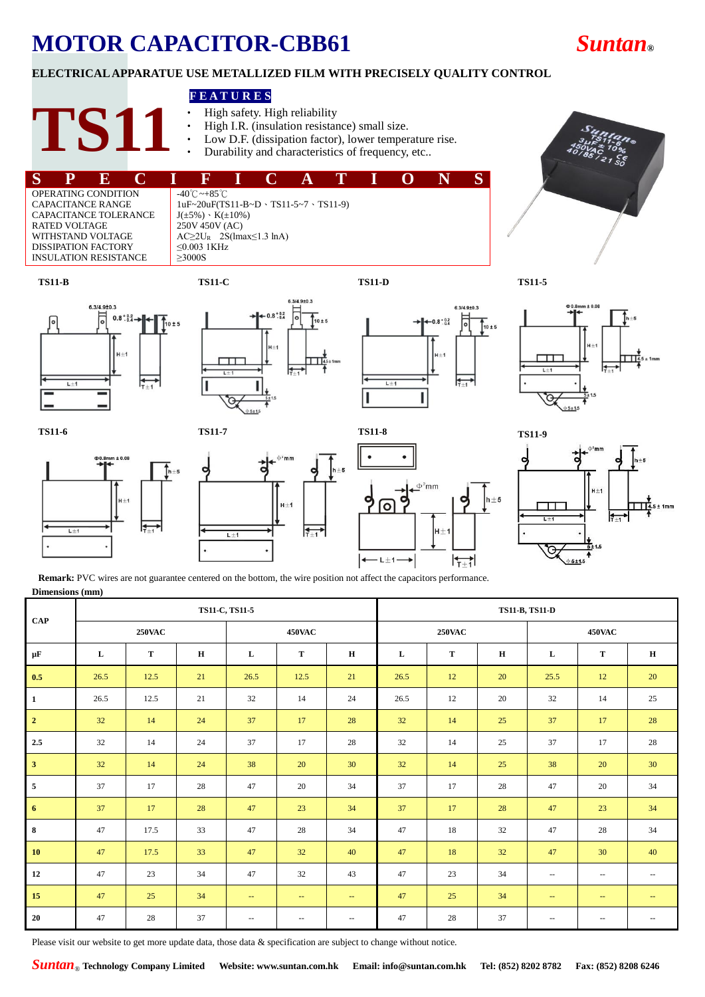## **MOTOR CAPACITOR-CBB61** *Suntan***®**

### **ELECTRICAL APPARATUE USE METALLIZED FILM WITH PRECISELY QUALITY CONTROL**

#### **F E A T U R E S**

- High safety. High reliability<br>• High I R (insulation resistary
- High I.R. (insulation resistance) small size.
- Low D.F. (dissipation factor), lower temperature rise.
- Durability and characteristics of frequency, etc...



**TS11-B TS11-C TS11-D TS11-5**



**TS11**















**Remark:** PVC wires are not guarantee centered on the bottom, the wire position not affect the capacitors performance. **Dimensions (mm)**

| <b>CAP</b>              | TS11-C, TS11-5 |      |             |                          |                          |               |               | <b>TS11-B, TS11-D</b> |    |                          |               |               |  |  |
|-------------------------|----------------|------|-------------|--------------------------|--------------------------|---------------|---------------|-----------------------|----|--------------------------|---------------|---------------|--|--|
|                         | <b>250VAC</b>  |      |             | 450VAC                   |                          |               | <b>250VAC</b> |                       |    | <b>450VAC</b>            |               |               |  |  |
| μF                      | L              | T    | $\mathbf H$ | L                        | T                        | H             | L             | T                     | H  | L                        | T             | H             |  |  |
| 0.5                     | 26.5           | 12.5 | 21          | 26.5                     | 12.5                     | 21            | 26.5          | 12                    | 20 | 25.5                     | 12            | 20            |  |  |
| $\mathbf{1}$            | 26.5           | 12.5 | 21          | 32                       | 14                       | 24            | 26.5          | 12                    | 20 | 32                       | 14            | 25            |  |  |
| $\overline{2}$          | 32             | 14   | 24          | 37                       | 17                       | 28            | 32            | 14                    | 25 | 37                       | 17            | 28            |  |  |
| 2.5                     | 32             | 14   | 24          | 37                       | 17                       | 28            | 32            | 14                    | 25 | 37                       | 17            | 28            |  |  |
| $\overline{\mathbf{3}}$ | 32             | 14   | 24          | 38                       | 20                       | 30            | 32            | 14                    | 25 | 38                       | 20            | 30            |  |  |
| $\overline{5}$          | 37             | 17   | 28          | 47                       | 20                       | 34            | 37            | 17                    | 28 | 47                       | 20            | 34            |  |  |
| 6                       | 37             | 17   | 28          | 47                       | 23                       | 34            | 37            | 17                    | 28 | 47                       | 23            | 34            |  |  |
| $\bf8$                  | 47             | 17.5 | 33          | 47                       | 28                       | 34            | 47            | 18                    | 32 | 47                       | 28            | 34            |  |  |
| 10                      | 47             | 17.5 | 33          | 47                       | 32                       | 40            | 47            | 18                    | 32 | 47                       | 30            | 40            |  |  |
| 12                      | 47             | 23   | 34          | 47                       | 32                       | 43            | 47            | 23                    | 34 | $\overline{\phantom{a}}$ | $\sim$ $\sim$ | $\sim$ $\sim$ |  |  |
| 15                      | 47             | 25   | 34          | $\sim$                   | $\sim$ $\sim$            | $\sim$        | 47            | 25                    | 34 | $\overline{\phantom{a}}$ | $\sim$        | $\sim$        |  |  |
| 20                      | 47             | 28   | 37          | $\overline{\phantom{m}}$ | $\overline{\phantom{a}}$ | $\sim$ $\sim$ | 47            | 28                    | 37 | $-$                      | $\sim$ $-$    | $\sim$ $\sim$ |  |  |

Please visit our website to get more update data, those data & specification are subject to change without notice.